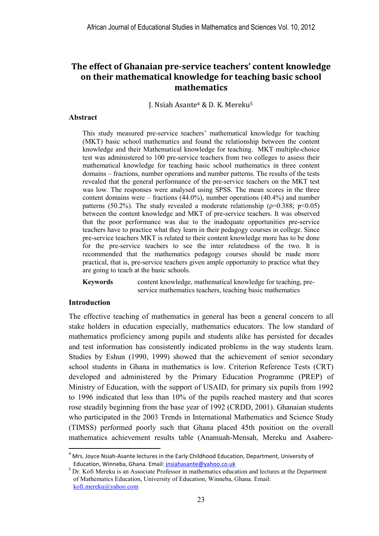J. Nsiah Asante4 & D. K. Mereku<sup>5</sup>

#### **Abstract**

This study measured pre-service teachers' mathematical knowledge for teaching (MKT) basic school mathematics and found the relationship between the content knowledge and their Mathematical knowledge for teaching. MKT multiple-choice test was administered to 100 pre-service teachers from two colleges to assess their mathematical knowledge for teaching basic school mathematics in three content domains – fractions, number operations and number patterns. The results of the tests revealed that the general performance of the pre-service teachers on the MKT test was low. The responses were analysed using SPSS. The mean scores in the three content domains were – fractions (44.0%), number operations (40.4%) and number patterns (50.2%). The study revealed a moderate relationship ( $p=0.388$ ;  $p<0.05$ ) between the content knowledge and MKT of pre-service teachers. It was observed that the poor performance was due to the inadequate opportunities pre-service teachers have to practice what they learn in their pedagogy courses in college. Since pre-service teachers MKT is related to their content knowledge more has to be done for the pre-service teachers to see the inter relatedness of the two. It is recommended that the mathematics pedagogy courses should be made more practical, that is, pre-service teachers given ample opportunity to practice what they are going to teach at the basic schools.

**Keywords** content knowledge, mathematical knowledge for teaching, preservice mathematics teachers, teaching basic mathematics

#### **Introduction**

 $\overline{a}$ 

The effective teaching of mathematics in general has been a general concern to all stake holders in education especially, mathematics educators. The low standard of mathematics proficiency among pupils and students alike has persisted for decades and test information has consistently indicated problems in the way students learn. Studies by Eshun (1990, 1999) showed that the achievement of senior secondary school students in Ghana in mathematics is low. Criterion Reference Tests (CRT) developed and administered by the Primary Education Programme (PREP) of Ministry of Education, with the support of USAID, for primary six pupils from 1992 to 1996 indicated that less than 10% of the pupils reached mastery and that scores rose steadily beginning from the base year of 1992 (CRDD, 2001). Ghanaian students who participated in the 2003 Trends in International Mathematics and Science Study (TIMSS) performed poorly such that Ghana placed 45th position on the overall mathematics achievement results table (Anamuah-Mensah, Mereku and Asabere-

<sup>4</sup> Mrs. Joyce Nsiah-Asante lectures in the Early Childhood Education, Department, University of Education, Winneba, Ghana. Email: jnsiahasante@yahoo.co.uk

<sup>&</sup>lt;sup>5</sup> Dr. Kofi Mereku is an Associate Professor in mathematics education and lectures at the Department of Mathematics Education, University of Education, Winneba, Ghana. Email: kofi.mereku@yahoo.com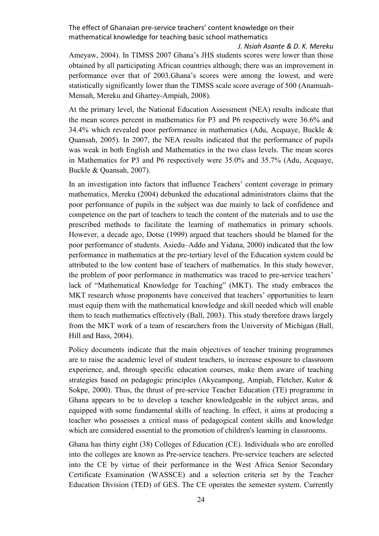*J. Nsiah Asante & D. K. Mereku*  Ameyaw, 2004). In TIMSS 2007 Ghana's JHS students scores were lower than those obtained by all participating African countries although; there was an improvement in performance over that of 2003.Ghana's scores were among the lowest, and were statistically significantly lower than the TIMSS scale score average of 500 (Anamuah-Mensah, Mereku and Ghartey-Ampiah, 2008).

At the primary level, the National Education Assessment (NEA) results indicate that the mean scores percent in mathematics for P3 and P6 respectively were 36.6% and 34.4% which revealed poor performance in mathematics (Adu, Acquave, Buckle  $\&$ Quansah, 2005). In 2007, the NEA results indicated that the performance of pupils was weak in both English and Mathematics in the two class levels. The mean scores in Mathematics for P3 and P6 respectively were 35.0% and 35.7% (Adu, Acquaye, Buckle & Quansah, 2007).

In an investigation into factors that influence Teachers' content coverage in primary mathematics, Mereku (2004) debunked the educational administrators claims that the poor performance of pupils in the subject was due mainly to lack of confidence and competence on the part of teachers to teach the content of the materials and to use the prescribed methods to facilitate the learning of mathematics in primary schools. However, a decade ago, Dotse (1999) argued that teachers should be blamed for the poor performance of students. Asiedu–Addo and Yidana, 2000) indicated that the low performance in mathematics at the pre-tertiary level of the Education system could be attributed to the low content base of teachers of mathematics. In this study however, the problem of poor performance in mathematics was traced to pre-service teachers' lack of "Mathematical Knowledge for Teaching" (MKT). The study embraces the MKT research whose proponents have conceived that teachers' opportunities to learn must equip them with the mathematical knowledge and skill needed which will enable them to teach mathematics effectively (Ball, 2003). This study therefore draws largely from the MKT work of a team of researchers from the University of Michigan (Ball, Hill and Bass, 2004).

Policy documents indicate that the main objectives of teacher training programmes are to raise the academic level of student teachers, to increase exposure to classroom experience, and, through specific education courses, make them aware of teaching strategies based on pedagogic principles (Akyeampong, Ampiah, Fletcher, Kutor & Sokpe, 2000). Thus, the thrust of pre-service Teacher Education (TE) programme in Ghana appears to be to develop a teacher knowledgeable in the subject areas, and equipped with some fundamental skills of teaching. In effect, it aims at producing a teacher who possesses a critical mass of pedagogical content skills and knowledge which are considered essential to the promotion of children's learning in classrooms.

Ghana has thirty eight (38) Colleges of Education (CE). Individuals who are enrolled into the colleges are known as Pre-service teachers. Pre-service teachers are selected into the CE by virtue of their performance in the West Africa Senior Secondary Certificate Examination (WASSCE) and a selection criteria set by the Teacher Education Division (TED) of GES. The CE operates the semester system. Currently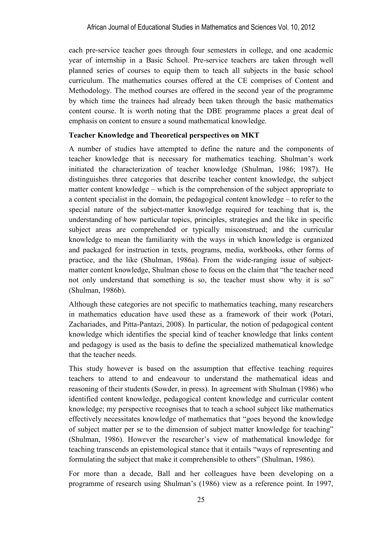each pre-service teacher goes through four semesters in college, and one academic year of internship in a Basic School. Pre-service teachers are taken through well planned series of courses to equip them to teach all subjects in the basic school curriculum. The mathematics courses offered at the CE comprises of Content and Methodology. The method courses are offered in the second year of the programme by which time the trainees had already been taken through the basic mathematics content course. It is worth noting that the DBE programme places a great deal of emphasis on content to ensure a sound mathematical knowledge.

## **Teacher Knowledge and Theoretical perspectives on MKT**

A number of studies have attempted to define the nature and the components of teacher knowledge that is necessary for mathematics teaching. Shulman's work initiated the characterization of teacher knowledge (Shulman, 1986; 1987). He distinguishes three categories that describe teacher content knowledge, the subject matter content knowledge – which is the comprehension of the subject appropriate to a content specialist in the domain, the pedagogical content knowledge – to refer to the special nature of the subject-matter knowledge required for teaching that is, the understanding of how particular topics, principles, strategies and the like in specific subject areas are comprehended or typically misconstrued; and the curricular knowledge to mean the familiarity with the ways in which knowledge is organized and packaged for instruction in texts, programs, media, workbooks, other forms of practice, and the like (Shulman, 1986a). From the wide-ranging issue of subjectmatter content knowledge, Shulman chose to focus on the claim that "the teacher need not only understand that something is so, the teacher must show why it is so" (Shulman, 1986b).

Although these categories are not specific to mathematics teaching, many researchers in mathematics education have used these as a framework of their work (Potari, Zachariades, and Pitta-Pantazi, 2008). In particular, the notion of pedagogical content knowledge which identifies the special kind of teacher knowledge that links content and pedagogy is used as the basis to define the specialized mathematical knowledge that the teacher needs.

This study however is based on the assumption that effective teaching requires teachers to attend to and endeavour to understand the mathematical ideas and reasoning of their students (Sowder, in press). In agreement with Shulman (1986) who identified content knowledge, pedagogical content knowledge and curricular content knowledge; my perspective recognises that to teach a school subject like mathematics effectively necessitates knowledge of mathematics that "goes beyond the knowledge of subject matter per se to the dimension of subject matter knowledge for teaching" (Shulman, 1986). However the researcher's view of mathematical knowledge for teaching transcends an epistemological stance that it entails "ways of representing and formulating the subject that make it comprehensible to others" (Shulman, 1986).

For more than a decade, Ball and her colleagues have been developing on a programme of research using Shulman's (1986) view as a reference point. In 1997,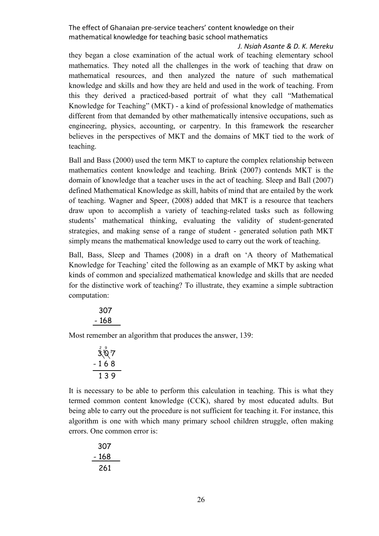*J. Nsiah Asante & D. K. Mereku* 

they began a close examination of the actual work of teaching elementary school mathematics. They noted all the challenges in the work of teaching that draw on mathematical resources, and then analyzed the nature of such mathematical knowledge and skills and how they are held and used in the work of teaching. From this they derived a practiced-based portrait of what they call "Mathematical Knowledge for Teaching" (MKT) - a kind of professional knowledge of mathematics different from that demanded by other mathematically intensive occupations, such as engineering, physics, accounting, or carpentry. In this framework the researcher believes in the perspectives of MKT and the domains of MKT tied to the work of teaching.

Ball and Bass (2000) used the term MKT to capture the complex relationship between mathematics content knowledge and teaching. Brink (2007) contends MKT is the domain of knowledge that a teacher uses in the act of teaching. Sleep and Ball (2007) defined Mathematical Knowledge as skill, habits of mind that are entailed by the work of teaching. Wagner and Speer, (2008) added that MKT is a resource that teachers draw upon to accomplish a variety of teaching-related tasks such as following students' mathematical thinking, evaluating the validity of student-generated strategies, and making sense of a range of student - generated solution path MKT simply means the mathematical knowledge used to carry out the work of teaching.

Ball, Bass, Sleep and Thames (2008) in a draft on 'A theory of Mathematical Knowledge for Teaching' cited the following as an example of MKT by asking what kinds of common and specialized mathematical knowledge and skills that are needed for the distinctive work of teaching? To illustrate, they examine a simple subtraction computation:

| 168 | 307 |  |
|-----|-----|--|
|     |     |  |

Most remember an algorithm that produces the answer, 139:

$$
\frac{307}{168}
$$
\n-168\n139

It is necessary to be able to perform this calculation in teaching. This is what they termed common content knowledge (CCK), shared by most educated adults. But being able to carry out the procedure is not sufficient for teaching it. For instance, this algorithm is one with which many primary school children struggle, often making errors. One common error is:

$$
\begin{array}{r} 307 \\ -168 \\ \hline 261 \end{array}
$$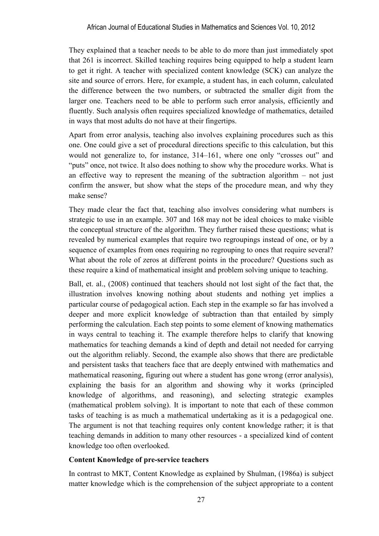They explained that a teacher needs to be able to do more than just immediately spot that 261 is incorrect. Skilled teaching requires being equipped to help a student learn to get it right. A teacher with specialized content knowledge (SCK) can analyze the site and source of errors. Here, for example, a student has, in each column, calculated the difference between the two numbers, or subtracted the smaller digit from the larger one. Teachers need to be able to perform such error analysis, efficiently and fluently. Such analysis often requires specialized knowledge of mathematics, detailed in ways that most adults do not have at their fingertips.

Apart from error analysis, teaching also involves explaining procedures such as this one. One could give a set of procedural directions specific to this calculation, but this would not generalize to, for instance, 314–161, where one only "crosses out" and "puts" once, not twice. It also does nothing to show why the procedure works. What is an effective way to represent the meaning of the subtraction algorithm – not just confirm the answer, but show what the steps of the procedure mean, and why they make sense?

They made clear the fact that, teaching also involves considering what numbers is strategic to use in an example. 307 and 168 may not be ideal choices to make visible the conceptual structure of the algorithm. They further raised these questions; what is revealed by numerical examples that require two regroupings instead of one, or by a sequence of examples from ones requiring no regrouping to ones that require several? What about the role of zeros at different points in the procedure? Questions such as these require a kind of mathematical insight and problem solving unique to teaching.

Ball, et. al., (2008) continued that teachers should not lost sight of the fact that, the illustration involves knowing nothing about students and nothing yet implies a particular course of pedagogical action. Each step in the example so far has involved a deeper and more explicit knowledge of subtraction than that entailed by simply performing the calculation. Each step points to some element of knowing mathematics in ways central to teaching it. The example therefore helps to clarify that knowing mathematics for teaching demands a kind of depth and detail not needed for carrying out the algorithm reliably. Second, the example also shows that there are predictable and persistent tasks that teachers face that are deeply entwined with mathematics and mathematical reasoning, figuring out where a student has gone wrong (error analysis), explaining the basis for an algorithm and showing why it works (principled knowledge of algorithms, and reasoning), and selecting strategic examples (mathematical problem solving). It is important to note that each of these common tasks of teaching is as much a mathematical undertaking as it is a pedagogical one. The argument is not that teaching requires only content knowledge rather; it is that teaching demands in addition to many other resources - a specialized kind of content knowledge too often overlooked.

# **Content Knowledge of pre-service teachers**

In contrast to MKT, Content Knowledge as explained by Shulman, (1986a) is subject matter knowledge which is the comprehension of the subject appropriate to a content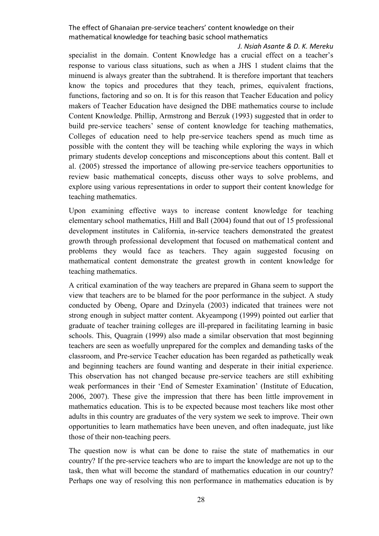#### *J. Nsiah Asante & D. K. Mereku*

specialist in the domain. Content Knowledge has a crucial effect on a teacher's response to various class situations, such as when a JHS 1 student claims that the minuend is always greater than the subtrahend. It is therefore important that teachers know the topics and procedures that they teach, primes, equivalent fractions, functions, factoring and so on. It is for this reason that Teacher Education and policy makers of Teacher Education have designed the DBE mathematics course to include Content Knowledge. Phillip, Armstrong and Berzuk (1993) suggested that in order to build pre-service teachers' sense of content knowledge for teaching mathematics, Colleges of education need to help pre-service teachers spend as much time as possible with the content they will be teaching while exploring the ways in which primary students develop conceptions and misconceptions about this content. Ball et al. (2005) stressed the importance of allowing pre-service teachers opportunities to review basic mathematical concepts, discuss other ways to solve problems, and explore using various representations in order to support their content knowledge for teaching mathematics.

Upon examining effective ways to increase content knowledge for teaching elementary school mathematics, Hill and Ball (2004) found that out of 15 professional development institutes in California, in-service teachers demonstrated the greatest growth through professional development that focused on mathematical content and problems they would face as teachers. They again suggested focusing on mathematical content demonstrate the greatest growth in content knowledge for teaching mathematics.

A critical examination of the way teachers are prepared in Ghana seem to support the view that teachers are to be blamed for the poor performance in the subject. A study conducted by Obeng, Opare and Dzinyela (2003) indicated that trainees were not strong enough in subject matter content. Akyeampong (1999) pointed out earlier that graduate of teacher training colleges are ill-prepared in facilitating learning in basic schools. This, Quagrain (1999) also made a similar observation that most beginning teachers are seen as woefully unprepared for the complex and demanding tasks of the classroom, and Pre-service Teacher education has been regarded as pathetically weak and beginning teachers are found wanting and desperate in their initial experience. This observation has not changed because pre-service teachers are still exhibiting weak performances in their 'End of Semester Examination' (Institute of Education, 2006, 2007). These give the impression that there has been little improvement in mathematics education. This is to be expected because most teachers like most other adults in this country are graduates of the very system we seek to improve. Their own opportunities to learn mathematics have been uneven, and often inadequate, just like those of their non-teaching peers.

The question now is what can be done to raise the state of mathematics in our country? If the pre-service teachers who are to impart the knowledge are not up to the task, then what will become the standard of mathematics education in our country? Perhaps one way of resolving this non performance in mathematics education is by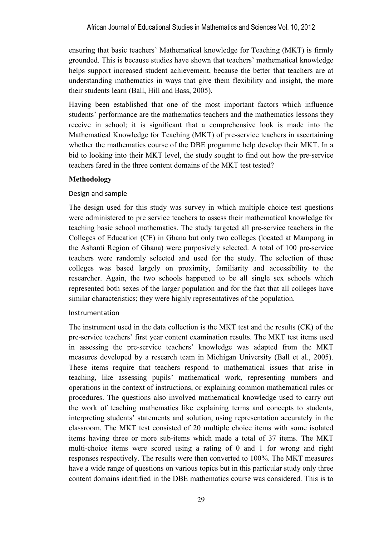ensuring that basic teachers' Mathematical knowledge for Teaching (MKT) is firmly grounded. This is because studies have shown that teachers' mathematical knowledge helps support increased student achievement, because the better that teachers are at understanding mathematics in ways that give them flexibility and insight, the more their students learn (Ball, Hill and Bass, 2005).

Having been established that one of the most important factors which influence students' performance are the mathematics teachers and the mathematics lessons they receive in school; it is significant that a comprehensive look is made into the Mathematical Knowledge for Teaching (MKT) of pre-service teachers in ascertaining whether the mathematics course of the DBE progamme help develop their MKT. In a bid to looking into their MKT level, the study sought to find out how the pre-service teachers fared in the three content domains of the MKT test tested?

## **Methodology**

## Design and sample

The design used for this study was survey in which multiple choice test questions were administered to pre service teachers to assess their mathematical knowledge for teaching basic school mathematics. The study targeted all pre-service teachers in the Colleges of Education (CE) in Ghana but only two colleges (located at Mampong in the Ashanti Region of Ghana) were purposively selected. A total of 100 pre-service teachers were randomly selected and used for the study. The selection of these colleges was based largely on proximity, familiarity and accessibility to the researcher. Again, the two schools happened to be all single sex schools which represented both sexes of the larger population and for the fact that all colleges have similar characteristics; they were highly representatives of the population.

### Instrumentation

The instrument used in the data collection is the MKT test and the results (CK) of the pre-service teachers' first year content examination results. The MKT test items used in assessing the pre-service teachers' knowledge was adapted from the MKT measures developed by a research team in Michigan University (Ball et al., 2005). These items require that teachers respond to mathematical issues that arise in teaching, like assessing pupils' mathematical work, representing numbers and operations in the context of instructions, or explaining common mathematical rules or procedures. The questions also involved mathematical knowledge used to carry out the work of teaching mathematics like explaining terms and concepts to students, interpreting students' statements and solution, using representation accurately in the classroom. The MKT test consisted of 20 multiple choice items with some isolated items having three or more sub-items which made a total of 37 items. The MKT multi-choice items were scored using a rating of 0 and 1 for wrong and right responses respectively. The results were then converted to 100%. The MKT measures have a wide range of questions on various topics but in this particular study only three content domains identified in the DBE mathematics course was considered. This is to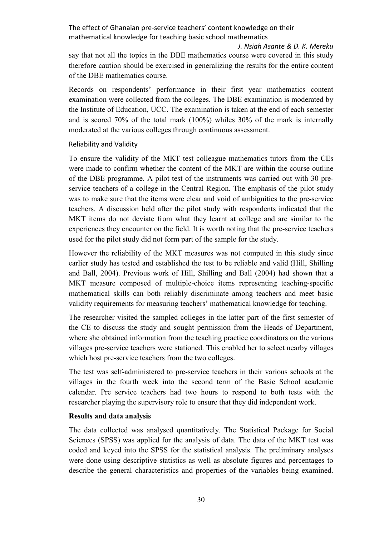*J. Nsiah Asante & D. K. Mereku*  say that not all the topics in the DBE mathematics course were covered in this study

therefore caution should be exercised in generalizing the results for the entire content of the DBE mathematics course.

Records on respondents' performance in their first year mathematics content examination were collected from the colleges. The DBE examination is moderated by the Institute of Education, UCC. The examination is taken at the end of each semester and is scored 70% of the total mark (100%) whiles 30% of the mark is internally moderated at the various colleges through continuous assessment.

## Reliability and Validity

To ensure the validity of the MKT test colleague mathematics tutors from the CEs were made to confirm whether the content of the MKT are within the course outline of the DBE programme. A pilot test of the instruments was carried out with 30 preservice teachers of a college in the Central Region. The emphasis of the pilot study was to make sure that the items were clear and void of ambiguities to the pre-service teachers. A discussion held after the pilot study with respondents indicated that the MKT items do not deviate from what they learnt at college and are similar to the experiences they encounter on the field. It is worth noting that the pre-service teachers used for the pilot study did not form part of the sample for the study.

However the reliability of the MKT measures was not computed in this study since earlier study has tested and established the test to be reliable and valid (Hill, Shilling and Ball, 2004). Previous work of Hill, Shilling and Ball (2004) had shown that a MKT measure composed of multiple-choice items representing teaching-specific mathematical skills can both reliably discriminate among teachers and meet basic validity requirements for measuring teachers' mathematical knowledge for teaching.

The researcher visited the sampled colleges in the latter part of the first semester of the CE to discuss the study and sought permission from the Heads of Department, where she obtained information from the teaching practice coordinators on the various villages pre-service teachers were stationed. This enabled her to select nearby villages which host pre-service teachers from the two colleges.

The test was self-administered to pre-service teachers in their various schools at the villages in the fourth week into the second term of the Basic School academic calendar. Pre service teachers had two hours to respond to both tests with the researcher playing the supervisory role to ensure that they did independent work.

# **Results and data analysis**

The data collected was analysed quantitatively. The Statistical Package for Social Sciences (SPSS) was applied for the analysis of data. The data of the MKT test was coded and keyed into the SPSS for the statistical analysis. The preliminary analyses were done using descriptive statistics as well as absolute figures and percentages to describe the general characteristics and properties of the variables being examined.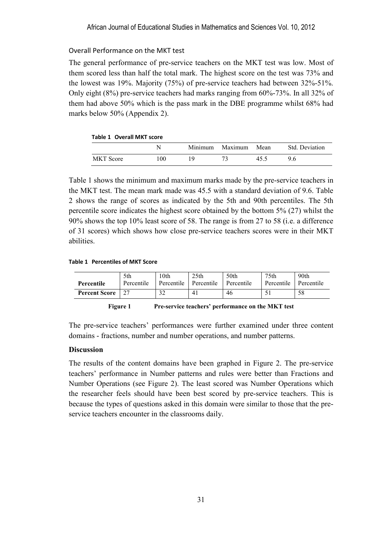## Overall Performance on the MKT test

The general performance of pre-service teachers on the MKT test was low. Most of them scored less than half the total mark. The highest score on the test was 73% and the lowest was 19%. Majority (75%) of pre-service teachers had between 32%-51%. Only eight (8%) pre-service teachers had marks ranging from 60%-73%. In all 32% of them had above 50% which is the pass mark in the DBE programme whilst 68% had marks below 50% (Appendix 2).

| Table 1 Overall MKT score |     |         |         |      |                |  |
|---------------------------|-----|---------|---------|------|----------------|--|
|                           |     | Minimum | Maximum | Mean | Std. Deviation |  |
| <b>MKT</b> Score          | 100 | 19      |         | 45.5 | 96             |  |

Table 1 shows the minimum and maximum marks made by the pre-service teachers in the MKT test. The mean mark made was 45.5 with a standard deviation of 9.6. Table 2 shows the range of scores as indicated by the 5th and 90th percentiles. The 5th percentile score indicates the highest score obtained by the bottom 5% (27) whilst the 90% shows the top 10% least score of 58. The range is from 27 to 58 (i.e. a difference of 31 scores) which shows how close pre-service teachers scores were in their MKT abilities.

#### **Table 1 Percentiles of MKT Score**

|                      | 5th        | 10th       | 25 <sub>th</sub> | 50th       | 75th       | 90th       |
|----------------------|------------|------------|------------------|------------|------------|------------|
| Percentile           | Percentile | Percentile | Percentile       | Percentile | Percentile | Percentile |
| <b>Percent Score</b> |            | ົ<br>ے د   | 4.               | 46         |            | 58         |

#### **Figure 1 Pre-service teachers' performance on the MKT test**

The pre-service teachers' performances were further examined under three content domains - fractions, number and number operations, and number patterns.

### **Discussion**

The results of the content domains have been graphed in Figure 2. The pre-service teachers' performance in Number patterns and rules were better than Fractions and Number Operations (see Figure 2). The least scored was Number Operations which the researcher feels should have been best scored by pre-service teachers. This is because the types of questions asked in this domain were similar to those that the preservice teachers encounter in the classrooms daily.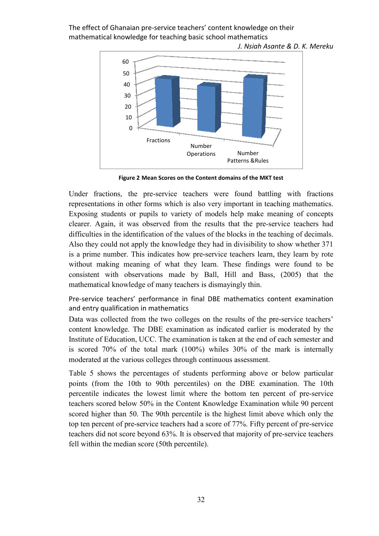*J. Nsiah Asante Asante & D. K. Mereku* 



**Figure 2 Mean Scores on the Content domains of the MKT test**

Under fractions, the pre-service teachers were found battling with fractions representations in other forms which is also very important in teaching mathematics. Exposing students or pupils to variety of models help make meaning of concepts clearer. Again, it was observed from the results that the pre-service teachers had difficulties in the identification of the values of the blocks in the teaching of decimals. Also they could not apply the knowledge they had in divisibility to show whether 371 is a prime number. This indicates how pre-service teachers learn, they learn by rote without making meaning of what they learn. These findings were found to be consistent with observations made by Ball, Hill and Bass, (2005) that the mathematical knowledge of many teachers is dismayingly thin. ions in other forms which is also very important in teaching mathematics.<br>students or pupils to variety of models help make meaning of concepts<br>gain, it was observed from the results that the pre-service teachers had Fractions<br>
2 Mean Scor<br>
: pre-servi<br>
er forms w<br>
pupils to<br>
s observed<br>
tification o<br>
oply the know<br>
his indicate<br>
ming of w<br>
ervations<br>
1 lge of many<br>
performar<br>
1 in mather<br>
om the two<br>
the DBE e:<br>
UCC. The<br>
e total ma<br> service teachers were found battling with fractions<br>ms which is also very important in teaching mathematics.<br>s to variety of models help make meaning of concepts<br>rved from the results that the pre-service teachers had<br>on o

Pre-service teachers' performance in final DBE mathematics content examination and entry qualification in mathematics

Data was collected from the two colleges on the results of the pre-service teachers' content knowledge. The DBE examination as indicated earlier is moderated by the Institute of Education, UCC. The examination is taken at the end of each semester and is scored 70% of the total mark (100%) whiles 30% of the mark is internally moderated at the various colleges through continuous assessment.

Table 5 shows the percentages of students performing above or below particular points (from the 10th to 90th percentiles) on the DBE examination. The 10th percentile indicates the lowest limit where the bottom ten percent of pre-service teachers scored below 50% in the Content Knowledge Examination while 90 percent scored higher than 50. The 90th percentile is the highest limit above which only the top ten percent of pre-service teachers had a score of 77%. Fifty percent of pre-service teachers did not score beyond 63%. It is observed that majority of pre-service teachers fell within the median score (50th percentile).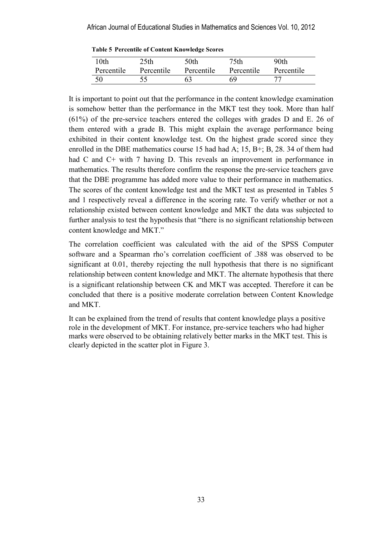| 10th       | 25 <sub>th</sub> | 50th       | 75th       | 90th       |
|------------|------------------|------------|------------|------------|
| Percentile | Percentile       | Percentile | Percentile | Percentile |
| 50         | 55               | 63         | 69         |            |

**Table 5 Percentile of Content Knowledge Scores** 

It is important to point out that the performance in the content knowledge examination is somehow better than the performance in the MKT test they took. More than half (61%) of the pre-service teachers entered the colleges with grades D and E. 26 of them entered with a grade B. This might explain the average performance being exhibited in their content knowledge test. On the highest grade scored since they enrolled in the DBE mathematics course 15 had had A; 15, B+; B, 28. 34 of them had had C and C+ with 7 having D. This reveals an improvement in performance in mathematics. The results therefore confirm the response the pre-service teachers gave that the DBE programme has added more value to their performance in mathematics. The scores of the content knowledge test and the MKT test as presented in Tables 5 and 1 respectively reveal a difference in the scoring rate. To verify whether or not a relationship existed between content knowledge and MKT the data was subjected to further analysis to test the hypothesis that "there is no significant relationship between content knowledge and MKT."

The correlation coefficient was calculated with the aid of the SPSS Computer software and a Spearman rho's correlation coefficient of .388 was observed to be significant at 0.01, thereby rejecting the null hypothesis that there is no significant relationship between content knowledge and MKT. The alternate hypothesis that there is a significant relationship between CK and MKT was accepted. Therefore it can be concluded that there is a positive moderate correlation between Content Knowledge and MKT.

It can be explained from the trend of results that content knowledge plays a positive role in the development of MKT. For instance, pre-service teachers who had higher marks were observed to be obtaining relatively better marks in the MKT test. This is clearly depicted in the scatter plot in Figure 3.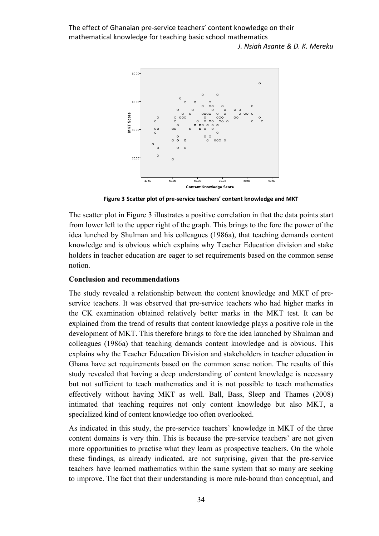The effect of Ghanaian pre-service teachers' content knowledge on their mathematical knowledge for teaching basic school mathematics *J. Nsiah Asante & D. K. Mereku* 



**Figure 3 Scatter plot of pre-service teachers' content knowledge and MKT** 

The scatter plot in Figure 3 illustrates a positive correlation in that the data points start from lower left to the upper right of the graph. This brings to the fore the power of the idea lunched by Shulman and his colleagues (1986a), that teaching demands content knowledge and is obvious which explains why Teacher Education division and stake holders in teacher education are eager to set requirements based on the common sense notion.

#### **Conclusion and recommendations**

The study revealed a relationship between the content knowledge and MKT of preservice teachers. It was observed that pre-service teachers who had higher marks in the CK examination obtained relatively better marks in the MKT test. It can be explained from the trend of results that content knowledge plays a positive role in the development of MKT. This therefore brings to fore the idea launched by Shulman and colleagues (1986a) that teaching demands content knowledge and is obvious. This explains why the Teacher Education Division and stakeholders in teacher education in Ghana have set requirements based on the common sense notion. The results of this study revealed that having a deep understanding of content knowledge is necessary but not sufficient to teach mathematics and it is not possible to teach mathematics effectively without having MKT as well. Ball, Bass, Sleep and Thames (2008) intimated that teaching requires not only content knowledge but also MKT, a specialized kind of content knowledge too often overlooked.

As indicated in this study, the pre-service teachers' knowledge in MKT of the three content domains is very thin. This is because the pre-service teachers' are not given more opportunities to practise what they learn as prospective teachers. On the whole these findings, as already indicated, are not surprising, given that the pre-service teachers have learned mathematics within the same system that so many are seeking to improve. The fact that their understanding is more rule-bound than conceptual, and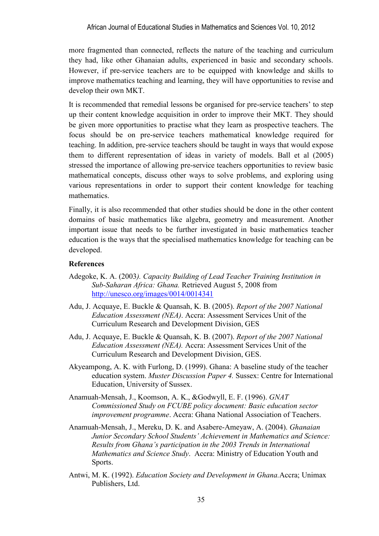more fragmented than connected, reflects the nature of the teaching and curriculum they had, like other Ghanaian adults, experienced in basic and secondary schools. However, if pre-service teachers are to be equipped with knowledge and skills to improve mathematics teaching and learning, they will have opportunities to revise and develop their own MKT.

It is recommended that remedial lessons be organised for pre-service teachers' to step up their content knowledge acquisition in order to improve their MKT. They should be given more opportunities to practise what they learn as prospective teachers. The focus should be on pre-service teachers mathematical knowledge required for teaching. In addition, pre-service teachers should be taught in ways that would expose them to different representation of ideas in variety of models. Ball et al (2005) stressed the importance of allowing pre-service teachers opportunities to review basic mathematical concepts, discuss other ways to solve problems, and exploring using various representations in order to support their content knowledge for teaching mathematics.

Finally, it is also recommended that other studies should be done in the other content domains of basic mathematics like algebra, geometry and measurement. Another important issue that needs to be further investigated in basic mathematics teacher education is the ways that the specialised mathematics knowledge for teaching can be developed.

### **References**

- Adegoke, K. A. (2003*). Capacity Building of Lead Teacher Training Institution in Sub-Saharan Africa: Ghana.* Retrieved August 5, 2008 from http://unesco.org/images/0014/0014341
- Adu, J. Acquaye, E. Buckle & Quansah, K. B. (2005). *Report of the 2007 National Education Assessment (NEA)*. Accra: Assessment Services Unit of the Curriculum Research and Development Division, GES
- Adu, J. Acquaye, E. Buckle & Quansah, K. B. (2007). *Report of the 2007 National Education Assessment (NEA).* Accra: Assessment Services Unit of the Curriculum Research and Development Division, GES.
- Akyeampong, A. K. with Furlong, D. (1999). Ghana: A baseline study of the teacher education system. *Muster Discussion Paper 4.* Sussex: Centre for International Education, University of Sussex.
- Anamuah-Mensah, J., Koomson, A. K., &Godwyll, E. F. (1996). *GNAT Commissioned Study on FCUBE policy document: Basic education sector improvement programme*. Accra: Ghana National Association of Teachers.
- Anamuah-Mensah, J., Mereku, D. K. and Asabere-Ameyaw, A. (2004). *Ghanaian Junior Secondary School Students' Achievement in Mathematics and Science: Results from Ghana's participation in the 2003 Trends in International Mathematics and Science Study*. Accra: Ministry of Education Youth and Sports.
- Antwi, M. K. (1992). *Education Society and Development in Ghana.*Accra; Unimax Publishers, Ltd.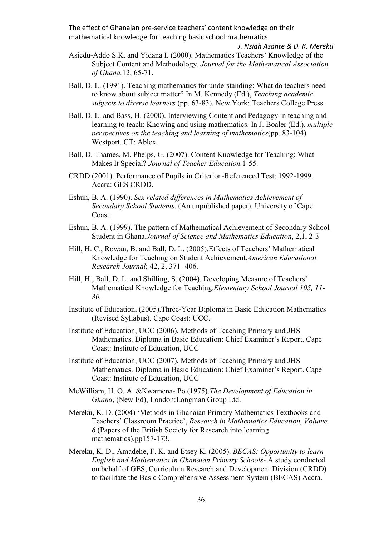*J. Nsiah Asante & D. K. Mereku* 

- Asiedu-Addo S.K. and Yidana I. (2000). Mathematics Teachers' Knowledge of the Subject Content and Methodology. *Journal for the Mathematical Association of Ghana.*12, 65-71.
- Ball, D. L. (1991). Teaching mathematics for understanding: What do teachers need to know about subject matter? In M. Kennedy (Ed.), *Teaching academic subjects to diverse learners* (pp. 63-83). New York: Teachers College Press.
- Ball, D. L. and Bass, H. (2000). Interviewing Content and Pedagogy in teaching and learning to teach: Knowing and using mathematics. In J. Boaler (Ed.), *multiple perspectives on the teaching and learning of mathematics*(pp. 83-104). Westport, CT: Ablex.
- Ball, D. Thames, M. Phelps, G. (2007). Content Knowledge for Teaching: What Makes It Special? *Journal of Teacher Education.*1-55.
- CRDD (2001). Performance of Pupils in Criterion-Referenced Test: 1992-1999. Accra: GES CRDD.
- Eshun, B. A. (1990). *Sex related differences in Mathematics Achievement of Secondary School Students*. (An unpublished paper). University of Cape Coast.
- Eshun, B. A. (1999). The pattern of Mathematical Achievement of Secondary School Student in Ghana.*Journal of Science and Mathematics Education*, 2,1, 2-3
- Hill, H. C., Rowan, B. and Ball, D. L. (2005).Effects of Teachers' Mathematical Knowledge for Teaching on Student Achievement.*American Educational Research Journal*; 42, 2, 371- 406.
- Hill, H., Ball, D. L. and Shilling, S. (2004). Developing Measure of Teachers' Mathematical Knowledge for Teaching.*Elementary School Journal 105, 11- 30.*
- Institute of Education, (2005).Three-Year Diploma in Basic Education Mathematics (Revised Syllabus). Cape Coast: UCC.
- Institute of Education, UCC (2006), Methods of Teaching Primary and JHS Mathematics. Diploma in Basic Education: Chief Examiner's Report. Cape Coast: Institute of Education, UCC
- Institute of Education, UCC (2007), Methods of Teaching Primary and JHS Mathematics. Diploma in Basic Education: Chief Examiner's Report. Cape Coast: Institute of Education, UCC
- McWilliam, H. O. A. &Kwamena- Po (1975).*The Development of Education in Ghana*, (New Ed), London:Longman Group Ltd.
- Mereku, K. D. (2004) 'Methods in Ghanaian Primary Mathematics Textbooks and Teachers' Classroom Practice', *Research in Mathematics Education, Volume 6.*(Papers of the British Society for Research into learning mathematics).pp157-173.
- Mereku, K. D., Amadehe, F. K. and Etsey K. (2005). *BECAS: Opportunity to learn English and Mathematics in Ghanaian Primary Schools*- A study conducted on behalf of GES, Curriculum Research and Development Division (CRDD) to facilitate the Basic Comprehensive Assessment System (BECAS) Accra.